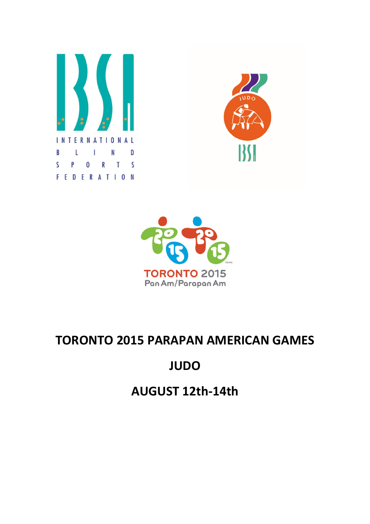





# TORONTO 2015 PARAPAN AMERICAN GAMES

# JUDO

AUGUST 12th-14th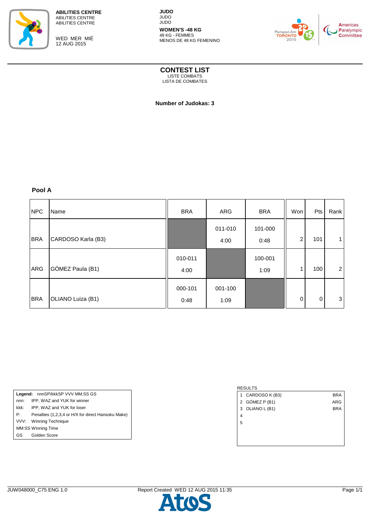

WED MER MIÉ 12 AUG 2015

**JUDO** JUDO JUDO **WOMEN'S -48 KG**

48 KG - FEMMES MENOS DE 48 KG FEMENINO



**CONTEST LIST**

LISTE COMBATS LISTA DE COMBATES

 **Number of Judokas: 3** 

## **Pool A**

| <b>NPC</b> | Name               | <b>BRA</b>      | <b>ARG</b>      | <b>BRA</b>      | Won         | Pts | Rank           |
|------------|--------------------|-----------------|-----------------|-----------------|-------------|-----|----------------|
| <b>BRA</b> | CARDOSO Karla (B3) |                 | 011-010<br>4:00 | 101-000<br>0:48 | 2           | 101 |                |
| <b>ARG</b> | GÓMEZ Paula (B1)   | 010-011<br>4:00 |                 | 100-001<br>1:09 | 1           | 100 | $\overline{2}$ |
| <b>BRA</b> | OLIANO Luiza (B1)  | 000-101<br>0:48 | 001-100<br>1:09 |                 | $\mathbf 0$ | 0   | 3              |

Legend: nnnSP/kkkSP VVV MM:SS GS nnn: IPP, WAZ and YUK for winner kkk: IPP, WAZ and YUK for loser P: Penalties (1,2,3,4 or H/X for direct Hansoku Make) VVV: Winning Technique MM:SS Winning Time

# RESULTS

- 1 CARDOSO K (B3) BRA
- 2 GÓMEZ P (B1) ARG
- 3 OLIANO L (B1) BRA
- 4 5

GS Golden Score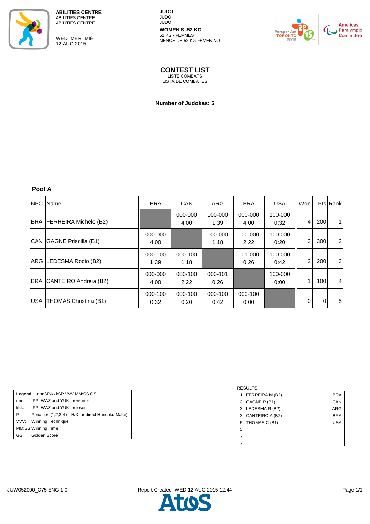

WED MER MIÉ 12 AUG 2015

**JUDO** JUDO JUDO **WOMEN'S -52 KG**

52 KG - FEMMES MENOS DE 52 KG FEMENINO



Paralympic<br>Committee

# **CONTEST LIST**

LISTE COMBATS LISTA DE COMBATES

 **Number of Judokas: 5** 

**Pool A**

| <b>NPC</b> Name           | <b>BRA</b>      | <b>CAN</b>      | <b>ARG</b>      | <b>BRA</b>      | <b>USA</b>      | Wonl           |             | <b>Pts Rank</b> |
|---------------------------|-----------------|-----------------|-----------------|-----------------|-----------------|----------------|-------------|-----------------|
| BRA FERREIRA Michele (B2) |                 | 000-000<br>4:00 | 100-000<br>1:39 | 000-000<br>4:00 | 100-000<br>0:32 | $\overline{4}$ | 200         |                 |
| CAN GAGNE Priscilla (B1)  | 000-000<br>4:00 |                 | 100-000<br>1:18 | 100-000<br>2:22 | 100-000<br>0:20 | 3              | 300         | $\overline{2}$  |
| ARG LEDESMA Rocio (B2)    | 000-100<br>1:39 | 000-100<br>1:18 |                 | 101-000<br>0:26 | 100-000<br>0:42 | 2              | 200         | 3               |
| BRA CANTEIRO Andreia (B2) | 000-000<br>4:00 | 000-100<br>2:22 | 000-101<br>0:26 |                 | 100-000<br>0:00 | 1              | 100         | $\overline{4}$  |
| USA THOMAS Christina (B1) | 000-100<br>0:32 | 000-100<br>0:20 | 000-100<br>0:42 | 000-100<br>0:00 |                 | 0              | $\mathbf 0$ | 5 <sub>1</sub>  |

Legend: nnnSP/kkkSP VVV MM:SS GS nnn: IPP, WAZ and YUK for winner kkk: IPP, WAZ and YUK for loser P: Penalties (1,2,3,4 or H/X for direct Hansoku Make) VVV: Winning Technique MM:SS Winning Time

#### GS Golden Score

#### RESULTS 1 FERREIRA M (B2) BRA 2 GAGNE P (B1) CAN 3 LEDESMA R (B2) ARG 3 CANTEIRO A (B2) BRA 5 THOMAS C (B1) USA 5 7 7

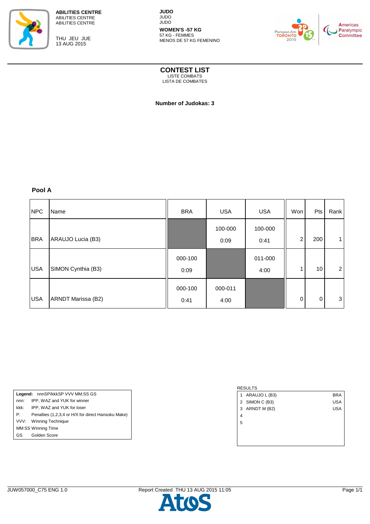

THU JEU JUE 13 AUG 2015

**JUDO** JUDO JUDO **WOMEN'S -57 KG**

57 KG - FEMMES MENOS DE 57 KG FEMENINO



**CONTEST LIST** LISTE COMBATS

LISTA DE COMBATES

 **Number of Judokas: 3** 

# **Pool A**

| <b>NPC</b> | Name               | <b>BRA</b>      | <b>USA</b>      | <b>USA</b>      | Won            | Pts | Rank           |
|------------|--------------------|-----------------|-----------------|-----------------|----------------|-----|----------------|
| <b>BRA</b> | ARAUJO Lucia (B3)  |                 | 100-000<br>0:09 | 100-000<br>0:41 | $\overline{c}$ | 200 |                |
| <b>USA</b> | SIMON Cynthia (B3) | 000-100<br>0:09 |                 | 011-000<br>4:00 | 1              | 10  | $\overline{2}$ |
| <b>USA</b> | ARNDT Marissa (B2) | 000-100<br>0:41 | 000-011<br>4:00 |                 | $\mathbf 0$    | 0   | 3              |

Legend: nnnSP/kkkSP VVV MM:SS GS nnn: IPP, WAZ and YUK for winner kkk: IPP, WAZ and YUK for loser P: Penalties (1,2,3,4 or H/X for direct Hansoku Make) VVV: Winning Technique MM:SS Winning Time GS Golden Score

# RESULTS 1 ARAUJO L (B3) BRA 2 SIMON C (B3) USA 3 ARNDT M (B2) USA 4 5

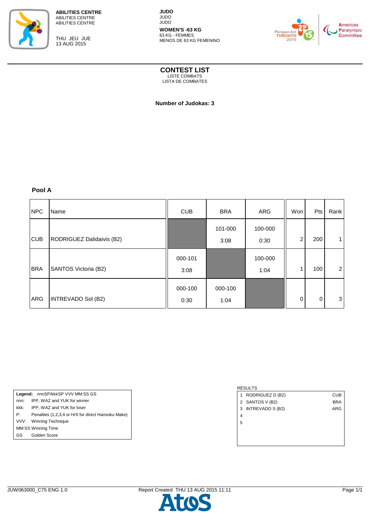

THU JEU JUE 13 AUG 2015

**JUDO** JUDO JUDO **WOMEN'S -63 KG**

63 KG - FEMMES MENOS DE 63 KG FEMENINO



**CONTEST LIST** LISTE COMBATS

LISTA DE COMBATES

 **Number of Judokas: 3** 

## **Pool A**

| <b>NPC</b> | Name                        | <b>CUB</b>      | <b>BRA</b>      | ARG             | Won      | Pts      | Rank           |
|------------|-----------------------------|-----------------|-----------------|-----------------|----------|----------|----------------|
| <b>CUB</b> | RODRIGUEZ Dalidaivis (B2)   |                 | 101-000<br>3:08 | 100-000<br>0:30 | 2        | 200      |                |
| <b>BRA</b> | <b>SANTOS Victoria (B2)</b> | 000-101<br>3:08 |                 | 100-000<br>1:04 | 1        | 100      | $\overline{2}$ |
| ARG        | INTREVADO Sol (B2)          | 000-100<br>0:30 | 000-100<br>1:04 |                 | $\Omega$ | $\Omega$ | 3              |

Legend: nnnSP/kkkSP VVV MM:SS GS nnn: IPP, WAZ and YUK for winner kkk: IPP, WAZ and YUK for loser P: Penalties (1,2,3,4 or H/X for direct Hansoku Make) VVV: Winning Technique MM:SS Winning Time GS Golden Score

#### RESULTS

- 1 RODRIGUEZ D (B2) CUB
- 2 SANTOS V (B2) BRA
- 3 INTREVADO S (B2) ARG

4

5

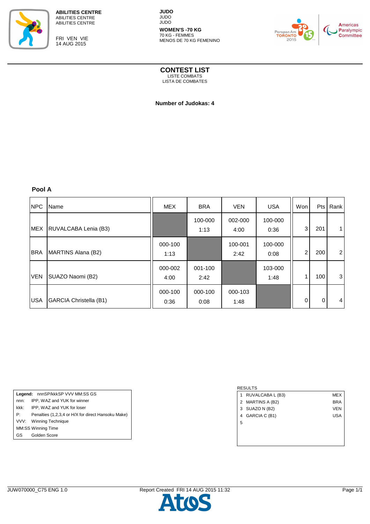

FRI VEN VIE 14 AUG 2015

**JUDO** JUDO JUDO **WOMEN'S -70 KG** 70 KG - FEMMES



**CONTEST LIST** LISTE COMBATS

MENOS DE 70 KG FEMENINO

LISTA DE COMBATES

 **Number of Judokas: 4** 

**Pool A**

| <b>NPC</b> | Name                          | <b>MEX</b>      | <b>BRA</b>      | <b>VEN</b>      | <b>USA</b>      | Won | Pts | Rank           |
|------------|-------------------------------|-----------------|-----------------|-----------------|-----------------|-----|-----|----------------|
|            | MEX RUVALCABA Lenia (B3)      |                 | 100-000<br>1:13 | 002-000<br>4:00 | 100-000<br>0:36 | 3   | 201 |                |
| <b>BRA</b> | MARTINS Alana (B2)            | 000-100<br>1:13 |                 | 100-001<br>2:42 | 100-000<br>0:08 | 2   | 200 | $\overline{2}$ |
| <b>VEN</b> | SUAZO Naomi (B2)              | 000-002<br>4:00 | 001-100<br>2:42 |                 | 103-000<br>1:48 |     | 100 | 3              |
| <b>USA</b> | <b>GARCIA Christella (B1)</b> | 000-100<br>0:36 | 000-100<br>0:08 | 000-103<br>1:48 |                 | 0   | 0   | $\overline{4}$ |

Legend: nnnSP/kkkSP VVV MM:SS GS nnn: IPP, WAZ and YUK for winner kkk: IPP, WAZ and YUK for loser P: Penalties (1,2,3,4 or H/X for direct Hansoku Make) VVV: Winning Technique MM:SS Winning Time GS Golden Score

| 1 | RUVALCABA L (B3) | <b>MEX</b> |
|---|------------------|------------|
|   | 2 MARTINS A (B2) | <b>BRA</b> |
|   | 3 SUAZO N (B2)   | <b>VEN</b> |
| 4 | GARCIA C (B1)    | <b>USA</b> |
| 5 |                  |            |
|   |                  |            |
|   |                  |            |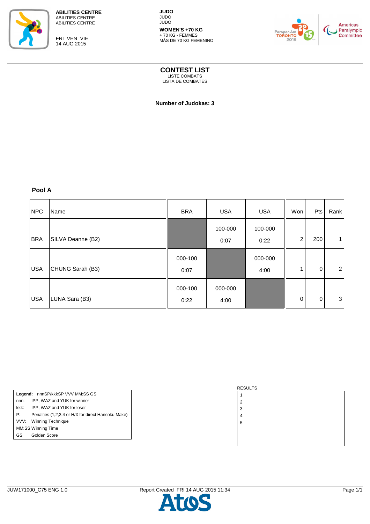

FRI VEN VIE 14 AUG 2015

**JUDO** JUDO JUDO **WOMEN'S +70 KG** + 70 KG - FEMMES



**CONTEST LIST** LISTE COMBATS

MÁS DE 70 KG FEMENINO

LISTA DE COMBATES

 **Number of Judokas: 3** 

## **Pool A**

| <b>NPC</b> | Name              | <b>BRA</b>      | <b>USA</b>      | <b>USA</b>      | Won         | Pts | Rank           |
|------------|-------------------|-----------------|-----------------|-----------------|-------------|-----|----------------|
| <b>BRA</b> | SILVA Deanne (B2) |                 | 100-000<br>0:07 | 100-000<br>0:22 | 2           | 200 |                |
| <b>USA</b> | CHUNG Sarah (B3)  | 000-100<br>0:07 |                 | 000-000<br>4:00 |             | 0   | $\overline{2}$ |
| <b>USA</b> | LUNA Sara (B3)    | 000-100<br>0:22 | 000-000<br>4:00 |                 | $\mathbf 0$ | 0   | 3              |

Legend: nnnSP/kkkSP VVV MM:SS GS nnn: IPP, WAZ and YUK for winner kkk: IPP, WAZ and YUK for loser P: Penalties (1,2,3,4 or H/X for direct Hansoku Make) VVV: Winning Technique MM:SS Winning Time GS Golden Score

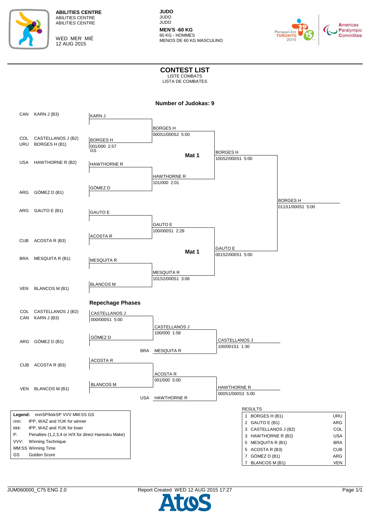

WED MER MIÉ 12 AUG 2015

**JUDO** JUDO JUDO **MEN'S -60 KG**

60 KG - HOMMES MENOS DE 60 KG MASCULINO



**CONTEST LIST** LISTE COMBATS

LISTA DE COMBATES

|            | CAN KARN J (B3)                                    | <b>KARNJ</b>            |            |                   |                    |                      |            |
|------------|----------------------------------------------------|-------------------------|------------|-------------------|--------------------|----------------------|------------|
|            |                                                    |                         |            |                   |                    |                      |            |
|            |                                                    |                         |            | <b>BORGESH</b>    |                    |                      |            |
|            | COL CASTELLANOS J (B2)                             | <b>BORGESH</b>          |            | 000S1/000S2 5:00  |                    |                      |            |
|            | URU BORGES H (B1)                                  | 001/000 2:57            |            |                   |                    |                      |            |
|            |                                                    | GS                      |            |                   | <b>BORGESH</b>     |                      |            |
|            |                                                    |                         |            | Mat 1             | 100S2/000S1 5:00   |                      |            |
| USA        | HAWTHORNE R (B2)                                   | <b>HAWTHORNE R</b>      |            |                   |                    |                      |            |
|            |                                                    |                         |            |                   |                    |                      |            |
|            |                                                    |                         |            | HAWTHORNE R       |                    |                      |            |
|            |                                                    |                         |            | 101/000 2:01      |                    |                      |            |
| ARG        | GÓMEZ D (B1)                                       | GÓMEZ D                 |            |                   |                    |                      |            |
|            |                                                    |                         |            |                   |                    |                      |            |
|            |                                                    |                         |            |                   |                    | <b>BORGESH</b>       |            |
| ARG        | GAUTO E (B1)                                       | <b>GAUTO E</b>          |            |                   |                    | 011S1/000S1 5:00     |            |
|            |                                                    |                         |            |                   |                    |                      |            |
|            |                                                    |                         |            | <b>GAUTO E</b>    |                    |                      |            |
|            |                                                    |                         |            | 100/000S1 2:28    |                    |                      |            |
|            |                                                    | <b>ACOSTA R</b>         |            |                   |                    |                      |            |
| <b>CUB</b> | ACOSTA R (B3)                                      |                         |            |                   |                    |                      |            |
|            |                                                    |                         |            |                   | <b>GAUTO E</b>     |                      |            |
|            |                                                    |                         |            | Mat 1             | 001S2/000S1 5:00   |                      |            |
| <b>BRA</b> | MESQUITA R (B1)                                    | <b>MESQUITA R</b>       |            |                   |                    |                      |            |
|            |                                                    |                         |            |                   |                    |                      |            |
|            |                                                    |                         |            | MESQUITA R        |                    |                      |            |
|            |                                                    | <b>BLANCOS M</b>        |            | 101S2/000S1 3:06  |                    |                      |            |
| VEN        | <b>BLANCOS M (B1)</b>                              |                         |            |                   |                    |                      |            |
|            |                                                    |                         |            |                   |                    |                      |            |
|            |                                                    | <b>Repechage Phases</b> |            |                   |                    |                      |            |
|            |                                                    |                         |            |                   |                    |                      |            |
|            | COL CASTELLANOS J (B2)<br>CAN KARN J (B3)          | CASTELLANOS J           |            |                   |                    |                      |            |
|            |                                                    | 000/000S1 5:00          |            |                   |                    |                      |            |
|            |                                                    |                         |            | CASTELLANOS J     |                    |                      |            |
|            |                                                    | GÓMEZ D                 |            | 100/000 1:58      |                    |                      |            |
| ARG        | GÓMEZ D (B1)                                       |                         |            |                   | CASTELLANOS J      |                      |            |
|            |                                                    |                         |            | <b>MESQUITA R</b> | 100/001S1 1:30     |                      |            |
|            |                                                    |                         | <b>BRA</b> |                   |                    |                      |            |
|            |                                                    | <b>ACOSTA R</b>         |            |                   |                    |                      |            |
| <b>CUB</b> | ACOSTA R (B3)                                      |                         |            |                   |                    |                      |            |
|            |                                                    |                         |            | ACOSTA R          |                    |                      |            |
|            |                                                    |                         |            | 001/000 5:00      |                    |                      |            |
|            | VEN BLANCOS M (B1)                                 | <b>BLANCOS M</b>        |            |                   | <b>HAWTHORNE R</b> |                      |            |
|            |                                                    |                         |            |                   | 000S1/000S3 5:00   |                      |            |
|            |                                                    |                         |            | USA HAWTHORNE R   |                    |                      |            |
|            |                                                    |                         |            |                   |                    | <b>RESULTS</b>       |            |
|            | Legend: nnnSP/kkkSP VVV MM:SS GS                   |                         |            |                   |                    | 1 BORGES H (B1)      | URU        |
| nnn:       | IPP, WAZ and YUK for winner                        |                         |            |                   |                    | 2 GAUTO E (B1)       | ARG        |
| kkk:       | IPP, WAZ and YUK for loser                         |                         |            |                   |                    | 3 CASTELLANOS J (B2) | COL        |
| Р:         | Penalties (1,2,3,4 or H/X for direct Hansoku Make) |                         |            |                   |                    | 3 HAWTHORNE R (B2)   | <b>USA</b> |
| VVV:       | Winning Technique                                  |                         |            |                   |                    |                      |            |
|            | MM:SS Winning Time                                 |                         |            |                   |                    | 5 MESQUITA R (B1)    | <b>BRA</b> |
| GS         | Golden Score                                       |                         |            |                   |                    | 5 ACOSTA R (B3)      | <b>CUB</b> |
|            |                                                    |                         |            |                   |                    | 7 GÓMEZ D (B1)       | ARG        |
|            |                                                    |                         |            |                   |                    | 7 BLANCOS M (B1)     | <b>VEN</b> |

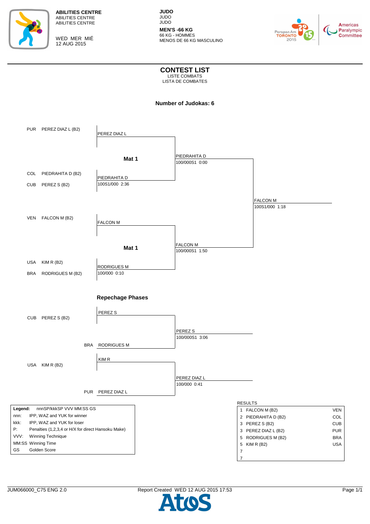

WED MER MIÉ 12 AUG 2015

**JUDO** JUDO JUDO

**MEN'S -66 KG** 66 KG - HOMMES MENOS DE 66 KG MASCULINO



**CONTEST LIST** LISTE COMBATS

LISTA DE COMBATES

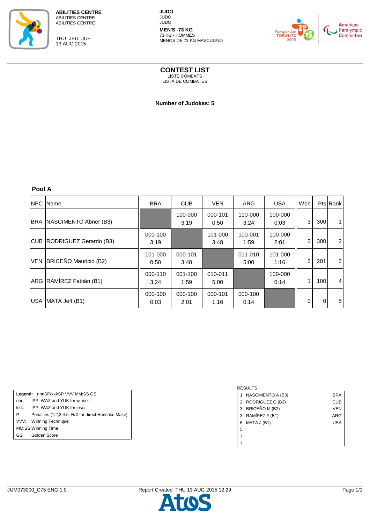

THU JEU JUE 13 AUG 2015

**JUDO** JUDO JUDO **MEN'S -73 KG**

73 KG - HOMMES MENOS DE 73 KG MASCULINO



**CONTEST LIST** LISTE COMBATS

LISTA DE COMBATES

 **Number of Judokas: 5** 

**Pool A**

| <b>NPC</b> Name            | <b>BRA</b>      | CUB             | <b>VEN</b>      | <b>ARG</b>      | <b>USA</b>      | Wonl     |             | <b>Pts Rank</b> |
|----------------------------|-----------------|-----------------|-----------------|-----------------|-----------------|----------|-------------|-----------------|
| BRA NASCIMENTO Abner (B3)  |                 | 100-000<br>3:19 | 000-101<br>0:50 | 110-000<br>3:24 | 100-000<br>0:03 | 3        | 300         | 1 <sub>1</sub>  |
| CUB RODRIGUEZ Gerardo (B3) | 000-100<br>3:19 |                 | 101-000<br>3:48 | 100-001<br>1:59 | 100-000<br>2:01 | 3        | 300         | $\overline{2}$  |
| VEN BRICEÑO Mauricio (B2)  | 101-000<br>0:50 | 000-101<br>3:48 |                 | 011-010<br>5:00 | 101-000<br>1:16 | 3        | 201         | 3               |
| ARG RAMÍREZ Fabián (B1)    | 000-110<br>3:24 | 001-100<br>1:59 | 010-011<br>5:00 |                 | 100-000<br>0:14 | 1        | 100         | $\overline{4}$  |
| USA MATA Jeff (B1)         | 000-100<br>0:03 | 000-100<br>2:01 | 000-101<br>1:16 | 000-100<br>0:14 |                 | $\Omega$ | $\mathbf 0$ | 5 <sub>1</sub>  |

Legend: nnnSP/kkkSP VVV MM:SS GS nnn: IPP, WAZ and YUK for winner kkk: IPP, WAZ and YUK for loser P: Penalties (1,2,3,4 or H/X for direct Hansoku Make) VVV: Winning Technique MM:SS Winning Time GS Golden Score

|   | NASCIMENTO A (B3)  | BRA        |
|---|--------------------|------------|
|   | 2 RODRIGUEZ G (B3) | CUB        |
|   | 3 BRICEÑO M (B2)   | <b>VEN</b> |
|   | 3 RAMÍREZ F (B1)   | ARG        |
| 5 | MATA J (B1)        | USA        |
| 5 |                    |            |
|   |                    |            |
|   |                    |            |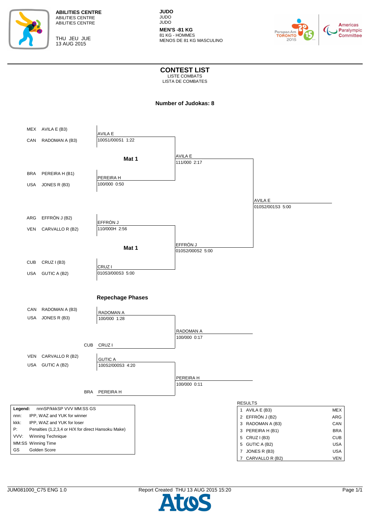



**JUDO** JUDO JUDO **MEN'S -81 KG**

81 KG - HOMMES MENOS DE 81 KG MASCULINO



**CONTEST LIST** LISTE COMBATS

LISTA DE COMBATES

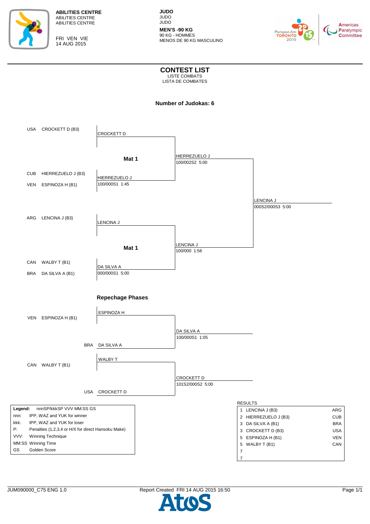

FRI VEN VIE 14 AUG 2015

**JUDO** JUDO JUDO **MEN'S -90 KG**

90 KG - HOMMES MENOS DE 90 KG MASCULINO



**CONTEST LIST** LISTE COMBATS

LISTA DE COMBATES

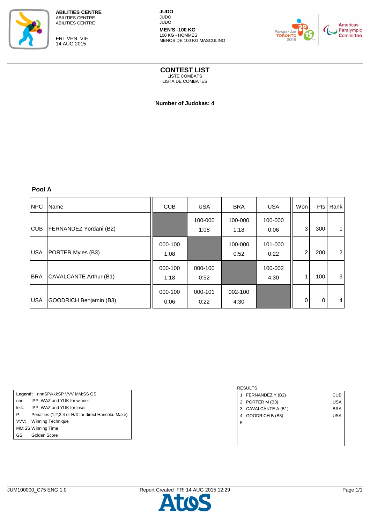

FRI VEN VIE 14 AUG 2015

**JUDO** JUDO JUDO

**MEN'S -100 KG** 100 KG - HOMMES MENOS DE 100 KG MASCULINO



**CONTEST LIST**

LISTE COMBATS LISTA DE COMBATES

 **Number of Judokas: 4** 

**Pool A**

| <b>NPC</b> | Name                   | <b>CUB</b>      | <b>USA</b>      | <b>BRA</b>      | <b>USA</b>      | Won | Pts | Rank           |
|------------|------------------------|-----------------|-----------------|-----------------|-----------------|-----|-----|----------------|
| <b>CUB</b> | FERNANDEZ Yordani (B2) |                 | 100-000<br>1:08 | 100-000<br>1:18 | 100-000<br>0:06 | 3   | 300 |                |
| <b>USA</b> | PORTER Myles (B3)      | 000-100<br>1:08 |                 | 100-000<br>0:52 | 101-000<br>0:22 | 2   | 200 | $\overline{2}$ |
| <b>BRA</b> | CAVALCANTE Arthur (B1) | 000-100<br>1:18 | 000-100<br>0:52 |                 | 100-002<br>4:30 |     | 100 | 3              |
| <b>USA</b> | GOODRICH Benjamin (B3) | 000-100<br>0:06 | 000-101<br>0:22 | 002-100<br>4:30 |                 | 0   | 0   | 4              |

Legend: nnnSP/kkkSP VVV MM:SS GS nnn: IPP, WAZ and YUK for winner kkk: IPP, WAZ and YUK for loser P: Penalties (1,2,3,4 or H/X for direct Hansoku Make) VVV: Winning Technique MM:SS Winning Time GS Golden Score

|   | 1 FERNANDEZ Y (B2)  | CUB |
|---|---------------------|-----|
|   | 2 PORTER M (B3)     | USA |
|   | 3 CAVALCANTE A (B1) | BRA |
|   | 4 GOODRICH B (B3)   | USA |
| 5 |                     |     |
|   |                     |     |
|   |                     |     |